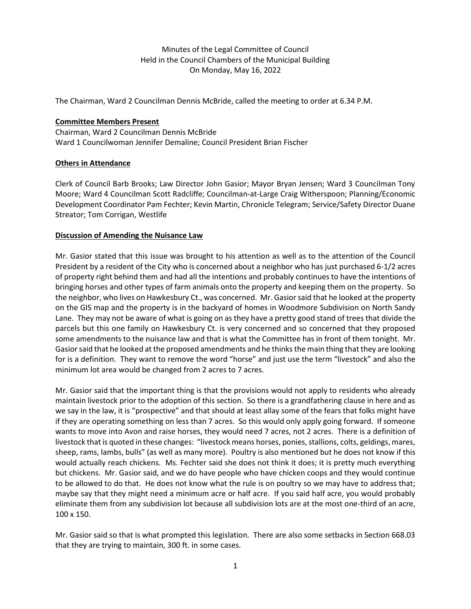Minutes of the Legal Committee of Council Held in the Council Chambers of the Municipal Building On Monday, May 16, 2022

The Chairman, Ward 2 Councilman Dennis McBride, called the meeting to order at 6.34 P.M.

## **Committee Members Present**

Chairman, Ward 2 Councilman Dennis McBride Ward 1 Councilwoman Jennifer Demaline; Council President Brian Fischer

## **Others in Attendance**

Clerk of Council Barb Brooks; Law Director John Gasior; Mayor Bryan Jensen; Ward 3 Councilman Tony Moore; Ward 4 Councilman Scott Radcliffe; Councilman-at-Large Craig Witherspoon; Planning/Economic Development Coordinator Pam Fechter; Kevin Martin, Chronicle Telegram; Service/Safety Director Duane Streator; Tom Corrigan, Westlife

## **Discussion of Amending the Nuisance Law**

Mr. Gasior stated that this issue was brought to his attention as well as to the attention of the Council President by a resident of the City who is concerned about a neighbor who has just purchased 6-1/2 acres of property right behind them and had all the intentions and probably continues to have the intentions of bringing horses and other types of farm animals onto the property and keeping them on the property. So the neighbor, who lives on Hawkesbury Ct., was concerned. Mr. Gasior said that he looked at the property on the GIS map and the property is in the backyard of homes in Woodmore Subdivision on North Sandy Lane. They may not be aware of what is going on as they have a pretty good stand of trees that divide the parcels but this one family on Hawkesbury Ct. is very concerned and so concerned that they proposed some amendments to the nuisance law and that is what the Committee has in front of them tonight. Mr. Gasior said that he looked at the proposed amendments and he thinks the main thing that they are looking for is a definition. They want to remove the word "horse" and just use the term "livestock" and also the minimum lot area would be changed from 2 acres to 7 acres.

Mr. Gasior said that the important thing is that the provisions would not apply to residents who already maintain livestock prior to the adoption of this section. So there is a grandfathering clause in here and as we say in the law, it is "prospective" and that should at least allay some of the fears that folks might have if they are operating something on less than 7 acres. So this would only apply going forward. If someone wants to move into Avon and raise horses, they would need 7 acres, not 2 acres. There is a definition of livestock that is quoted in these changes: "livestock means horses, ponies, stallions, colts, geldings, mares, sheep, rams, lambs, bulls" (as well as many more). Poultry is also mentioned but he does not know if this would actually reach chickens. Ms. Fechter said she does not think it does; it is pretty much everything but chickens. Mr. Gasior said, and we do have people who have chicken coops and they would continue to be allowed to do that. He does not know what the rule is on poultry so we may have to address that; maybe say that they might need a minimum acre or half acre. If you said half acre, you would probably eliminate them from any subdivision lot because all subdivision lots are at the most one-third of an acre, 100 x 150.

Mr. Gasior said so that is what prompted this legislation. There are also some setbacks in Section 668.03 that they are trying to maintain, 300 ft. in some cases.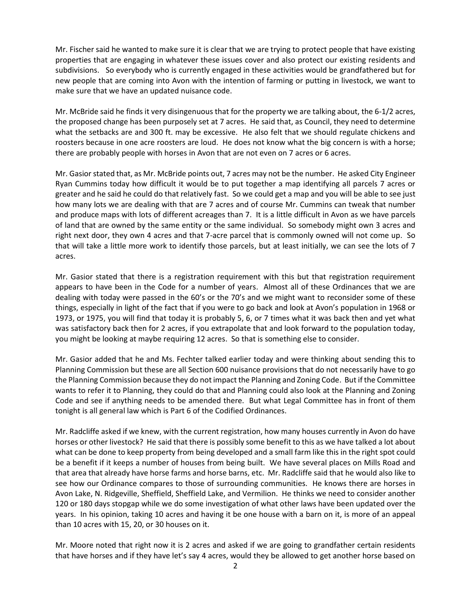Mr. Fischer said he wanted to make sure it is clear that we are trying to protect people that have existing properties that are engaging in whatever these issues cover and also protect our existing residents and subdivisions. So everybody who is currently engaged in these activities would be grandfathered but for new people that are coming into Avon with the intention of farming or putting in livestock, we want to make sure that we have an updated nuisance code.

Mr. McBride said he finds it very disingenuous that for the property we are talking about, the 6-1/2 acres, the proposed change has been purposely set at 7 acres. He said that, as Council, they need to determine what the setbacks are and 300 ft. may be excessive. He also felt that we should regulate chickens and roosters because in one acre roosters are loud. He does not know what the big concern is with a horse; there are probably people with horses in Avon that are not even on 7 acres or 6 acres.

Mr. Gasior stated that, as Mr. McBride points out, 7 acres may not be the number. He asked City Engineer Ryan Cummins today how difficult it would be to put together a map identifying all parcels 7 acres or greater and he said he could do that relatively fast. So we could get a map and you will be able to see just how many lots we are dealing with that are 7 acres and of course Mr. Cummins can tweak that number and produce maps with lots of different acreages than 7. It is a little difficult in Avon as we have parcels of land that are owned by the same entity or the same individual. So somebody might own 3 acres and right next door, they own 4 acres and that 7-acre parcel that is commonly owned will not come up. So that will take a little more work to identify those parcels, but at least initially, we can see the lots of 7 acres.

Mr. Gasior stated that there is a registration requirement with this but that registration requirement appears to have been in the Code for a number of years. Almost all of these Ordinances that we are dealing with today were passed in the 60's or the 70's and we might want to reconsider some of these things, especially in light of the fact that if you were to go back and look at Avon's population in 1968 or 1973, or 1975, you will find that today it is probably 5, 6, or 7 times what it was back then and yet what was satisfactory back then for 2 acres, if you extrapolate that and look forward to the population today, you might be looking at maybe requiring 12 acres. So that is something else to consider.

Mr. Gasior added that he and Ms. Fechter talked earlier today and were thinking about sending this to Planning Commission but these are all Section 600 nuisance provisions that do not necessarily have to go the Planning Commission because they do not impact the Planning and Zoning Code. But if the Committee wants to refer it to Planning, they could do that and Planning could also look at the Planning and Zoning Code and see if anything needs to be amended there. But what Legal Committee has in front of them tonight is all general law which is Part 6 of the Codified Ordinances.

Mr. Radcliffe asked if we knew, with the current registration, how many houses currently in Avon do have horses or other livestock? He said that there is possibly some benefit to this as we have talked a lot about what can be done to keep property from being developed and a small farm like this in the right spot could be a benefit if it keeps a number of houses from being built. We have several places on Mills Road and that area that already have horse farms and horse barns, etc. Mr. Radcliffe said that he would also like to see how our Ordinance compares to those of surrounding communities. He knows there are horses in Avon Lake, N. Ridgeville, Sheffield, Sheffield Lake, and Vermilion. He thinks we need to consider another 120 or 180 days stopgap while we do some investigation of what other laws have been updated over the years. In his opinion, taking 10 acres and having it be one house with a barn on it, is more of an appeal than 10 acres with 15, 20, or 30 houses on it.

Mr. Moore noted that right now it is 2 acres and asked if we are going to grandfather certain residents that have horses and if they have let's say 4 acres, would they be allowed to get another horse based on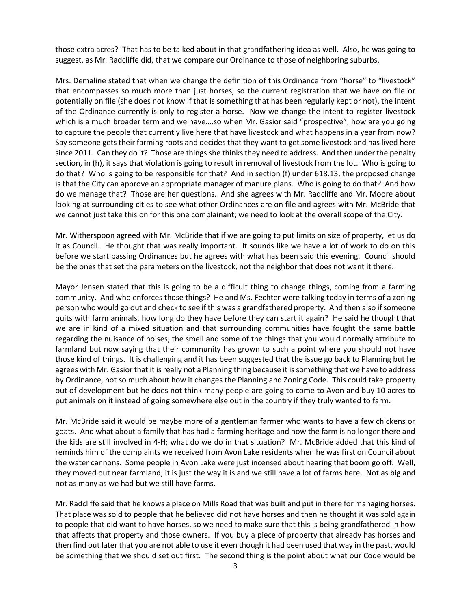those extra acres? That has to be talked about in that grandfathering idea as well. Also, he was going to suggest, as Mr. Radcliffe did, that we compare our Ordinance to those of neighboring suburbs.

Mrs. Demaline stated that when we change the definition of this Ordinance from "horse" to "livestock" that encompasses so much more than just horses, so the current registration that we have on file or potentially on file (she does not know if that is something that has been regularly kept or not), the intent of the Ordinance currently is only to register a horse. Now we change the intent to register livestock which is a much broader term and we have....so when Mr. Gasior said "prospective", how are you going to capture the people that currently live here that have livestock and what happens in a year from now? Say someone gets their farming roots and decides that they want to get some livestock and has lived here since 2011. Can they do it? Those are things she thinks they need to address. And then under the penalty section, in (h), it says that violation is going to result in removal of livestock from the lot. Who is going to do that? Who is going to be responsible for that? And in section (f) under 618.13, the proposed change is that the City can approve an appropriate manager of manure plans. Who is going to do that? And how do we manage that? Those are her questions. And she agrees with Mr. Radcliffe and Mr. Moore about looking at surrounding cities to see what other Ordinances are on file and agrees with Mr. McBride that we cannot just take this on for this one complainant; we need to look at the overall scope of the City.

Mr. Witherspoon agreed with Mr. McBride that if we are going to put limits on size of property, let us do it as Council. He thought that was really important. It sounds like we have a lot of work to do on this before we start passing Ordinances but he agrees with what has been said this evening. Council should be the ones that set the parameters on the livestock, not the neighbor that does not want it there.

Mayor Jensen stated that this is going to be a difficult thing to change things, coming from a farming community. And who enforces those things? He and Ms. Fechter were talking today in terms of a zoning person who would go out and check to see if this was a grandfathered property. And then also if someone quits with farm animals, how long do they have before they can start it again? He said he thought that we are in kind of a mixed situation and that surrounding communities have fought the same battle regarding the nuisance of noises, the smell and some of the things that you would normally attribute to farmland but now saying that their community has grown to such a point where you should not have those kind of things. It is challenging and it has been suggested that the issue go back to Planning but he agrees with Mr. Gasior that it is really not a Planning thing because it is something that we have to address by Ordinance, not so much about how it changes the Planning and Zoning Code. This could take property out of development but he does not think many people are going to come to Avon and buy 10 acres to put animals on it instead of going somewhere else out in the country if they truly wanted to farm.

Mr. McBride said it would be maybe more of a gentleman farmer who wants to have a few chickens or goats. And what about a family that has had a farming heritage and now the farm is no longer there and the kids are still involved in 4-H; what do we do in that situation? Mr. McBride added that this kind of reminds him of the complaints we received from Avon Lake residents when he was first on Council about the water cannons. Some people in Avon Lake were just incensed about hearing that boom go off. Well, they moved out near farmland; it is just the way it is and we still have a lot of farms here. Not as big and not as many as we had but we still have farms.

Mr. Radcliffe said that he knows a place on Mills Road that was built and put in there for managing horses. That place was sold to people that he believed did not have horses and then he thought it was sold again to people that did want to have horses, so we need to make sure that this is being grandfathered in how that affects that property and those owners. If you buy a piece of property that already has horses and then find out later that you are not able to use it even though it had been used that way in the past, would be something that we should set out first. The second thing is the point about what our Code would be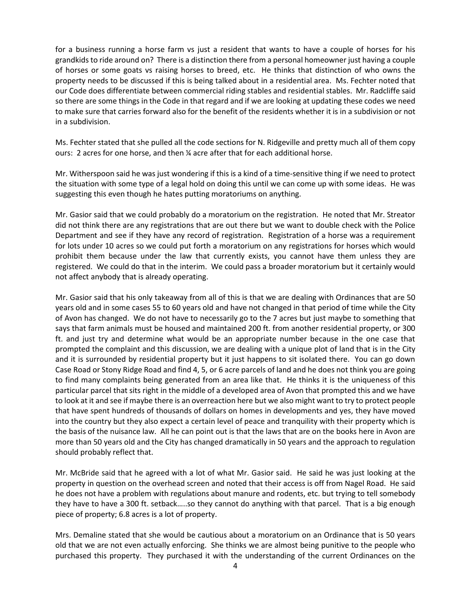for a business running a horse farm vs just a resident that wants to have a couple of horses for his grandkids to ride around on? There is a distinction there from a personal homeowner just having a couple of horses or some goats vs raising horses to breed, etc. He thinks that distinction of who owns the property needs to be discussed if this is being talked about in a residential area. Ms. Fechter noted that our Code does differentiate between commercial riding stables and residential stables. Mr. Radcliffe said so there are some things in the Code in that regard and if we are looking at updating these codes we need to make sure that carries forward also for the benefit of the residents whether it is in a subdivision or not in a subdivision.

Ms. Fechter stated that she pulled all the code sections for N. Ridgeville and pretty much all of them copy ours: 2 acres for one horse, and then ¼ acre after that for each additional horse.

Mr. Witherspoon said he was just wondering if this is a kind of a time-sensitive thing if we need to protect the situation with some type of a legal hold on doing this until we can come up with some ideas. He was suggesting this even though he hates putting moratoriums on anything.

Mr. Gasior said that we could probably do a moratorium on the registration. He noted that Mr. Streator did not think there are any registrations that are out there but we want to double check with the Police Department and see if they have any record of registration. Registration of a horse was a requirement for lots under 10 acres so we could put forth a moratorium on any registrations for horses which would prohibit them because under the law that currently exists, you cannot have them unless they are registered. We could do that in the interim. We could pass a broader moratorium but it certainly would not affect anybody that is already operating.

Mr. Gasior said that his only takeaway from all of this is that we are dealing with Ordinances that are 50 years old and in some cases 55 to 60 years old and have not changed in that period of time while the City of Avon has changed. We do not have to necessarily go to the 7 acres but just maybe to something that says that farm animals must be housed and maintained 200 ft. from another residential property, or 300 ft. and just try and determine what would be an appropriate number because in the one case that prompted the complaint and this discussion, we are dealing with a unique plot of land that is in the City and it is surrounded by residential property but it just happens to sit isolated there. You can go down Case Road or Stony Ridge Road and find 4, 5, or 6 acre parcels of land and he does not think you are going to find many complaints being generated from an area like that. He thinks it is the uniqueness of this particular parcel that sits right in the middle of a developed area of Avon that prompted this and we have to look at it and see if maybe there is an overreaction here but we also might want to try to protect people that have spent hundreds of thousands of dollars on homes in developments and yes, they have moved into the country but they also expect a certain level of peace and tranquility with their property which is the basis of the nuisance law. All he can point out is that the laws that are on the books here in Avon are more than 50 years old and the City has changed dramatically in 50 years and the approach to regulation should probably reflect that.

Mr. McBride said that he agreed with a lot of what Mr. Gasior said. He said he was just looking at the property in question on the overhead screen and noted that their access is off from Nagel Road. He said he does not have a problem with regulations about manure and rodents, etc. but trying to tell somebody they have to have a 300 ft. setback…..so they cannot do anything with that parcel. That is a big enough piece of property; 6.8 acres is a lot of property.

Mrs. Demaline stated that she would be cautious about a moratorium on an Ordinance that is 50 years old that we are not even actually enforcing. She thinks we are almost being punitive to the people who purchased this property. They purchased it with the understanding of the current Ordinances on the